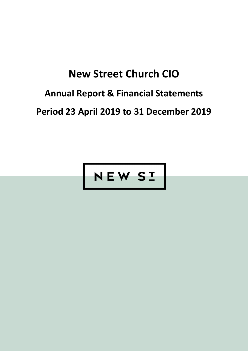## Annual Report & Financial Statements

Period 23 April 2019 to 31 December 2019

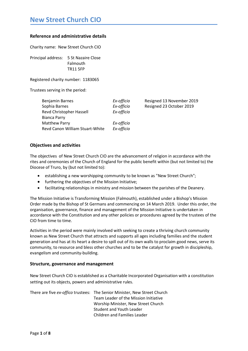### Reference and administrative details

Charity name: New Street Church CIO

Principal address: 5 St Nazaire Close Falmouth TR11 5FP

Registered charity number: 1183065

Trustees serving in the period:

| Ex-officio | Resigned 13 November 2019 |
|------------|---------------------------|
| Ex-officio | Resigned 23 October 2019  |
| Ex-officio |                           |
|            |                           |
| Ex-officio |                           |
| Ex-officio |                           |
|            |                           |

### Objectives and activities

The objectives of New Street Church CIO are the advancement of religion in accordance with the rites and ceremonies of the Church of England for the public benefit within (but not limited to) the Diocese of Truro, by (but not limited to):

- establishing a new worshipping community to be known as "New Street Church";
- **•** furthering the objectives of the Mission Initiative;
- facilitating relationships in ministry and mission between the parishes of the Deanery.

The Mission Initiative is Transforming Mission (Falmouth), established under a Bishop's Mission Order made by the Bishop of St Germans and commencing on 14 March 2019. Under this order, the organisation, governance, finance and management of the Mission Initiative is undertaken in accordance with the Constitution and any other policies or procedures agreed by the trustees of the CIO from time to time.

Activities in the period were mainly involved with seeking to create a thriving church community known as New Street Church that attracts and supports all ages including families and the student generation and has at its heart a desire to spill out of its own walls to proclaim good news, serve its community, to resource and bless other churches and to be the catalyst for growth in discipleship, evangelism and community-building.

### Structure, governance and management

New Street Church CIO is established as a Charitable Incorporated Organisation with a constitution setting out its objects, powers and administrative rules.

There are five ex-offico trustees: The Senior Minister, New Street Church Team Leader of the Mission Initiative Worship Minister, New Street Church Student and Youth Leader Children and Families Leader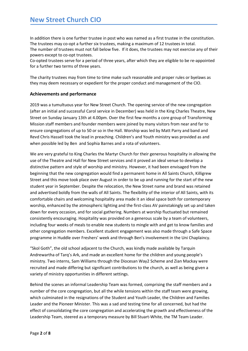In addition there is one further trustee in post who was named as a first trustee in the constitution. The trustees may co-opt a further six trustees, making a maximum of 12 trustees in total. The number of trustees must not fall below five. If it does, the trustees may not exercise any of their powers except to co-opt trustees.

Co-opted trustees serve for a period of three years, after which they are eligible to be re-appointed for a further two terms of three years.

The charity trustees may from time to time make such reasonable and proper rules or byelaws as they may deem necessary or expedient for the proper conduct and management of the CIO.

### Achievements and performance

2019 was a tumultuous year for New Street Church. The opening service of the new congregation (after an initial and successful Carol service in December) was held in the King Charles Theatre, New Street on Sunday January 13th at 4.00pm. Over the first few months a core group of Transforming Mission staff members and founder members were joined by many visitors from near and far to ensure congregations of up to 50 or so in the Hall. Worship was led by Matt Parry and band and Revd Chris Hassell took the lead in preaching. Children's and Youth ministry was provided as and when possible led by Ben and Sophia Barnes and a rota of volunteers.

We are very grateful to King Charles the Martyr Church for their generous hospitality in allowing the use of the Theatre and Hall for New Street services and it proved an ideal venue to develop a distinctive pattern and style of worship and ministry. However, it had been envisaged from the beginning that the new congregation would find a permanent home in All Saints Church, Killigrew Street and this move took place over August in order to be up and running for the start of the new student year in September. Despite the relocation, the New Street name and brand was retained and advertised boldly from the walls of All Saints. The flexibility of the interior of All Saints, with its comfortable chairs and welcoming hospitality area made it an ideal space both for contemporary worship, enhanced by the atmospheric lighting and the first-class AV painstakingly set up and taken down for every occasion, and for social gathering. Numbers at worship fluctuated but remained consistently encouraging. Hospitality was provided on a generous scale by a team of volunteers, including four weeks of meals to enable new students to mingle with and get to know families and other congregation members. Excellent student engagement was also made through a Safe Space programme in Huddle over Freshers' week and through Ben's involvement in the Uni Chaplaincy.

"Skol Goth", the old school adjacent to the Church, was kindly made available by Tarquin Andrewartha of Tarq's Ark, and made an excellent home for the children and young people's ministry. Two interns, Sam Williams through the Diocesan Way2 Scheme and Zian Mackay were recruited and made differing but significant contributions to the church, as well as being given a variety of ministry opportunities in different settings.

Behind the scenes an informal Leadership Team was formed, comprising the staff members and a number of the core congregation, but all the while tensions within the staff team were growing, which culminated in the resignations of the Student and Youth Leader, the Children and Families Leader and the Pioneer Minister. This was a sad and testing time for all concerned, but had the effect of consolidating the core congregation and accelerating the growth and effectiveness of the Leadership Team, steered as a temporary measure by Bill Stuart-White, the TM Team Leader.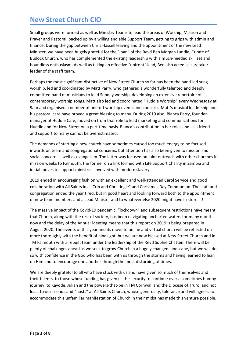Small groups were formed as well as Ministry Teams to lead the areas of Worship, Mission and Prayer and Pastoral, backed up by a willing and able Support Team, getting to grips with admin and finance. During the gap between Chris Hassell leaving and the appointment of the new Lead Minister, we have been hugely grateful for the "loan" of the Revd Ben Morgan Lundie, Curate of Budock Church, who has complemented the existing leadership with a much-needed skill set and boundless enthusiasm. As well as taking an effective "upfront" lead, Ben also acted as caretakerleader of the staff team.

Perhaps the most significant distinctive of New Street Church so far has been the band-led sung worship, led and coordinated by Matt Parry, who gathered a wonderfully talented and deeply committed band of musicians to lead Sunday worship, developing an extensive repertoire of contemporary worship songs. Matt also led and coordinated "Huddle Worship" every Wednesday at 9am and organised a number of one-off worship events and concerts. Matt's musical leadership and his pastoral care have proved a great blessing to many. During 2019 also, Bianca Parry, foundermanager of Huddle Café, moved on from that role to lead marketing and communications for Huddle and for New Street on a part-time basis. Bianca's contribution in her roles and as a friend and support to many cannot be overestimated.

The demands of starting a new church have sometimes caused too much energy to be focused inwards on team and congregational concerns, but attention has also been given to mission and social concern as well as evangelism. The latter was focused on joint outreach with other churches in mission weeks to Falmouth, the former on a link formed with Life Support Charity in Zambia and initial moves to support ministries involved with modern slavery.

2019 ended in encouraging fashion with an excellent and well-attended Carol Service and good collaboration with All Saints in a "Crib and Christingle" and Christmas Day Communion. The staff and congregation ended the year tired, but in good heart and looking forward both to the appointment of new team members and a Lead Minister and to whatever else 2020 might have in store….!

The massive impact of the Covid-19 pandemic, "lockdown" and subsequent restrictions have meant that Church, along with the rest of society, has been navigating uncharted waters for many months now and the delay of the Annual Meeting means that this report on 2019 is being prepared in August 2020. The events of this year and its move to online and virtual church will be reflected on more thoroughly with the benefit of hindsight, but we are now blessed at New Street Church and in TM Falmouth with a rebuilt team under the leadership of the Revd Sophie Chatten. There will be plenty of challenges ahead as we seek to grow Church in a hugely changed landscape, but we will do so with confidence in the God who has been with us through the storms and having learned to lean on Him and to encourage one another through the most disturbing of times.

We are deeply grateful to all who have stuck with us and have given so much of themselves and their talents, to those whose funding has given us the security to continue over a sometimes bumpy journey, to Kayode, Julian and the powers-that-be in TM Cornwall and the Diocese of Truro, and not least to our friends and "hosts" at All Saints Church, whose generosity, tolerance and willingness to accommodate this unfamiliar manifestation of Church in their midst has made this venture possible.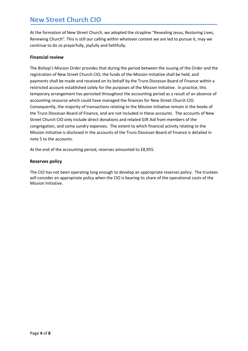At the formation of New Street Church, we adopted the strapline "Revealing Jesus, Restoring Lives, Renewing Church". This is still our calling within whatever context we are led to pursue it, may we continue to do so prayerfully, joyfully and faithfully.

### Financial review

The Bishop's Mission Order provides that during the period between the issuing of the Order and the registration of New Street Church CIO, the funds of the Mission Initiative shall be held, and payments shall be made and received on its behalf by the Truro Diocesan Board of Finance within a restricted account established solely for the purposes of the Mission Initiative. In practice, this temporary arrangement has persisted throughout the accounting period as a result of an absence of accounting resource which could have managed the finances for New Street Church CIO. Consequently, the majority of transactions relating to the Mission Initiative remain in the books of the Truro Diocesan Board of Finance, and are not included in these accounts. The accounts of New Street Church CIO only include direct donations and related Gift Aid from members of the congregation, and some sundry expenses. The extent to which financial activity relating to the Mission Initiative is disclosed in the accounts of the Truro Diocesan Board of Finance is detailed in note 5 to the accounts.

At the end of the accounting period, reserves amounted to £8,955.

### Reserves policy

The CIO has not been operating long enough to develop an appropriate reserves policy. The trustees will consider an appropriate policy when the CIO is bearing its share of the operational costs of the Mission Initiative.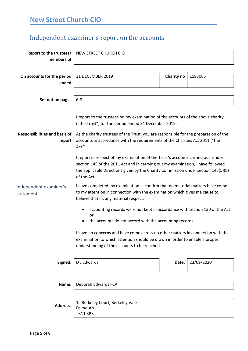### Independent examiner's report on the accounts

| Report to the trustees/<br>members of          | NEW STREET CHURCH CIO                                                                                                                                                                                                                                                                                                     |            |            |
|------------------------------------------------|---------------------------------------------------------------------------------------------------------------------------------------------------------------------------------------------------------------------------------------------------------------------------------------------------------------------------|------------|------------|
| On accounts for the period<br>ended            | 31 DECEMBER 2019                                                                                                                                                                                                                                                                                                          | Charity no | 1183065    |
| Set out on pages                               | $6 - 8$                                                                                                                                                                                                                                                                                                                   |            |            |
| <b>Responsibilities and basis of</b><br>report | I report to the trustees on my examination of the accounts of the above charity<br>("the Trust") for the period ended 31 December 2019.<br>As the charity trustees of the Trust, you are responsible for the preparation of the<br>accounts in accordance with the requirements of the Charities Act 2011 ("the<br>Act"). |            |            |
|                                                | I report in respect of my examination of the Trust's accounts carried out under<br>section 145 of the 2011 Act and in carrying out my examination, I have followed<br>the applicable Directions given by the Charity Commission under section 145(5)(b)<br>of the Act.                                                    |            |            |
| Independent examiner's<br>statement            | I have completed my examination. I confirm that no material matters have come<br>to my attention in connection with the examination which gives me cause to<br>believe that in, any material respect:                                                                                                                     |            |            |
|                                                | accounting records were not kept in accordance with section 130 of the Act<br>٠<br>or<br>the accounts do not accord with the accounting records                                                                                                                                                                           |            |            |
|                                                | I have no concerns and have come across no other matters in connection with the<br>examination to which attention should be drawn in order to enable a proper<br>understanding of the accounts to be reached.                                                                                                             |            |            |
| Signed:                                        | D J Edwards                                                                                                                                                                                                                                                                                                               | Date:      | 23/09/2020 |
| Name:                                          | Deborah Edwards FCA                                                                                                                                                                                                                                                                                                       |            |            |
| <b>Address:</b>                                | 1a Berkeley Court, Berkeley Vale<br>Falmouth<br><b>TR11 3PB</b>                                                                                                                                                                                                                                                           |            |            |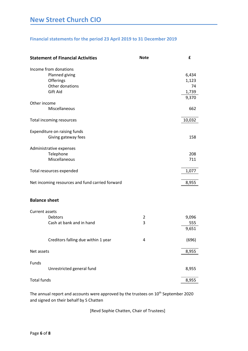### Financial statements for the period 23 April 2019 to 31 December 2019

|                      | <b>Statement of Financial Activities</b>                                            | <b>Note</b> | £                             |
|----------------------|-------------------------------------------------------------------------------------|-------------|-------------------------------|
|                      | Income from donations<br>Planned giving<br>Offerings<br>Other donations<br>Gift Aid |             | 6,434<br>1,123<br>74<br>1,739 |
|                      |                                                                                     |             | 9,370                         |
| Other income         | Miscellaneous                                                                       |             | 662                           |
|                      | Total incoming resources                                                            |             | 10,032                        |
|                      | Expenditure on raising funds<br>Giving gateway fees                                 |             | 158                           |
|                      | Administrative expenses<br>Telephone<br>Miscellaneous                               |             | 208<br>711                    |
|                      | Total resources expended                                                            |             | 1,077                         |
|                      | Net incoming resources and fund carried forward                                     |             | 8,955                         |
| <b>Balance sheet</b> |                                                                                     |             |                               |
| Current assets       |                                                                                     |             |                               |
|                      | <b>Debtors</b><br>Cash at bank and in hand                                          | 2<br>3      | 9,096<br>555                  |
|                      |                                                                                     |             | 9,651                         |
|                      | Creditors falling due within 1 year                                                 | 4           | (696)                         |
| Net assets           |                                                                                     |             | 8,955                         |
| Funds                |                                                                                     |             |                               |
|                      | Unrestricted general fund                                                           |             | 8,955                         |
| <b>Total funds</b>   |                                                                                     |             | 8,955                         |

The annual report and accounts were approved by the trustees on 10<sup>th</sup> September 2020 and signed on their behalf by S Chatten

[Revd Sophie Chatten, Chair of Trustees]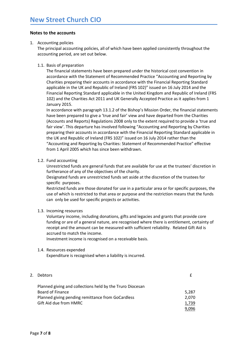### Notes to the accounts

### 1. Accounting policies

The principal accounting policies, all of which have been applied consistently throughout the accounting period, are set out below.

### 1.1. Basis of preparation

The financial statements have been prepared under the historical cost convention in accordance with the Statement of Recommended Practice "Accounting and Reporting by Charities preparing their accounts in accordance with the Financial Reporting Standard applicable in the UK and Republic of Ireland (FRS 102)" issued on 16 July 2014 and the Financial Reporting Standard applicable in the United Kingdom and Republic of Ireland (FRS 102) and the Charities Act 2011 and UK Generally Accepted Practice as it applies from 1 January 2015.

In accordance with paragraph 13.1.2 of the Bishop's Mission Order, the financial statements have been prepared to give a 'true and fair' view and have departed from the Charities (Accounts and Reports) Regulations 2008 only to the extent required to provide a 'true and fair view'. This departure has involved following "Accounting and Reporting by Charities preparing their accounts in accordance with the Financial Reporting Standard applicable in the UK and Republic of Ireland (FRS 102)" issued on 16 July 2014 rather than the "Accounting and Reporting by Charities: Statement of Recommended Practice" effective from 1 April 2005 which has since been withdrawn.

### 1.2. Fund accounting

Unrestricted funds are general funds that are available for use at the trustees' discretion in furtherance of any of the objectives of the charity.

Designated funds are unrestricted funds set aside at the discretion of the trustees for specific purposes.

Restricted funds are those donated for use in a particular area or for specific purposes, the use of which is restricted to that area or purpose and the restriction means that the funds can only be used for specific projects or activities.

### 1.3. Incoming resources

Voluntary income, including donations, gifts and legacies and grants that provide core funding or are of a general nature, are recognised where there is entitlement, certainty of receipt and the amount can be measured with sufficient reliability. Related Gift Aid is accrued to match the income.

Investment income is recognised on a receivable basis.

### 1.4. Resources expended

Expenditure is recognised when a liability is incurred.

| 2. Debtors                                                |       |
|-----------------------------------------------------------|-------|
| Planned giving and collections held by the Truro Diocesan |       |
| Board of Finance                                          | 5,287 |
| Planned giving pending remittance from GoCardless         | 2.070 |
| Gift Aid due from HMRC                                    | 1.739 |
|                                                           | 9,096 |